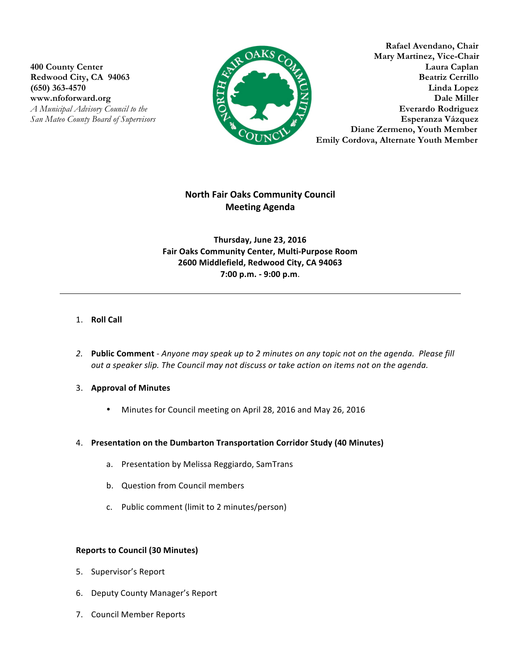$www.nfoforward.org$ 



**Rafael Avendano, Chair KS** Compared Mary Martinez, Vice-Chair **400 County Center Laura Caplan** Redwood City, CA 94063 Beatriz Cerrillo (650) 363-4570 Linda Lopez<br>www.nfoforward.org Dale Miller *A Municipal Advisory Council to the* **Everardo Rodriguez Everardo Rodriguez** *San Mateo County Board of Supervisors* **Esperanza Vázquez** **Diane Zermeno, Youth Member Emily Cordova, Alternate Youth Member** 

# **North Fair Oaks Community Council Meeting Agenda**

**Thursday, June 23, 2016 Fair Oaks Community Center, Multi-Purpose Room 2600 Middlefield, Redwood City, CA 94063 7:00 p.m. - 9:00 p.m**.

## 1. **Roll Call**

- 2. **Public Comment** *Anyone may speak up to 2 minutes on any topic not on the agenda. Please fill out a speaker slip. The Council may not discuss or take action on items not on the agenda.*
- 3. Approval of Minutes
	- Minutes for Council meeting on April 28, 2016 and May 26, 2016

### 4. Presentation on the Dumbarton Transportation Corridor Study (40 Minutes)

- a. Presentation by Melissa Reggiardo, SamTrans
- b. Question from Council members
- c. Public comment (limit to 2 minutes/person)

### **Reports to Council (30 Minutes)**

- 5. Supervisor's Report
- 6. Deputy County Manager's Report
- 7. Council Member Reports